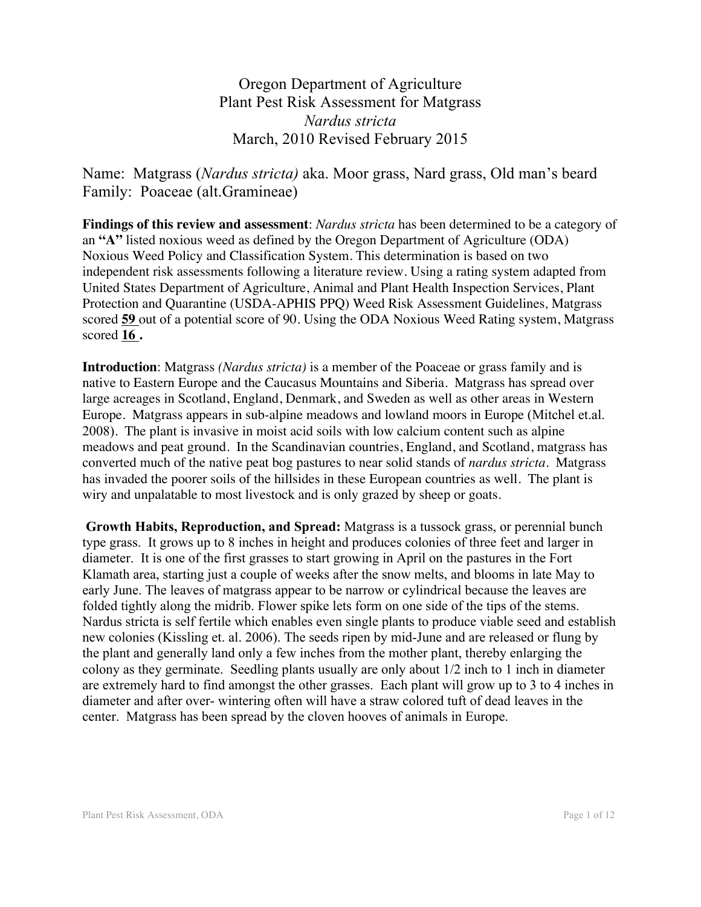Oregon Department of Agriculture Plant Pest Risk Assessment for Matgrass *Nardus stricta* March, 2010 Revised February 2015

Name: Matgrass (*Nardus stricta)* aka. Moor grass, Nard grass, Old man's beard Family: Poaceae (alt.Gramineae)

**Findings of this review and assessment**: *Nardus stricta* has been determined to be a category of an **"A"** listed noxious weed as defined by the Oregon Department of Agriculture (ODA) Noxious Weed Policy and Classification System. This determination is based on two independent risk assessments following a literature review. Using a rating system adapted from United States Department of Agriculture, Animal and Plant Health Inspection Services, Plant Protection and Quarantine (USDA-APHIS PPQ) Weed Risk Assessment Guidelines*,* Matgrass scored **59** out of a potential score of 90. Using the ODA Noxious Weed Rating system, Matgrass scored **16 .**

**Introduction**: Matgrass *(Nardus stricta)* is a member of the Poaceae or grass family and is native to Eastern Europe and the Caucasus Mountains and Siberia. Matgrass has spread over large acreages in Scotland, England, Denmark, and Sweden as well as other areas in Western Europe. Matgrass appears in sub-alpine meadows and lowland moors in Europe (Mitchel et.al. 2008). The plant is invasive in moist acid soils with low calcium content such as alpine meadows and peat ground. In the Scandinavian countries, England, and Scotland, matgrass has converted much of the native peat bog pastures to near solid stands of *nardus stricta*. Matgrass has invaded the poorer soils of the hillsides in these European countries as well. The plant is wiry and unpalatable to most livestock and is only grazed by sheep or goats.

**Growth Habits, Reproduction, and Spread:** Matgrass is a tussock grass, or perennial bunch type grass. It grows up to 8 inches in height and produces colonies of three feet and larger in diameter. It is one of the first grasses to start growing in April on the pastures in the Fort Klamath area, starting just a couple of weeks after the snow melts, and blooms in late May to early June. The leaves of matgrass appear to be narrow or cylindrical because the leaves are folded tightly along the midrib. Flower spike lets form on one side of the tips of the stems. Nardus stricta is self fertile which enables even single plants to produce viable seed and establish new colonies (Kissling et. al. 2006). The seeds ripen by mid-June and are released or flung by the plant and generally land only a few inches from the mother plant, thereby enlarging the colony as they germinate. Seedling plants usually are only about 1/2 inch to 1 inch in diameter are extremely hard to find amongst the other grasses. Each plant will grow up to 3 to 4 inches in diameter and after over- wintering often will have a straw colored tuft of dead leaves in the center. Matgrass has been spread by the cloven hooves of animals in Europe.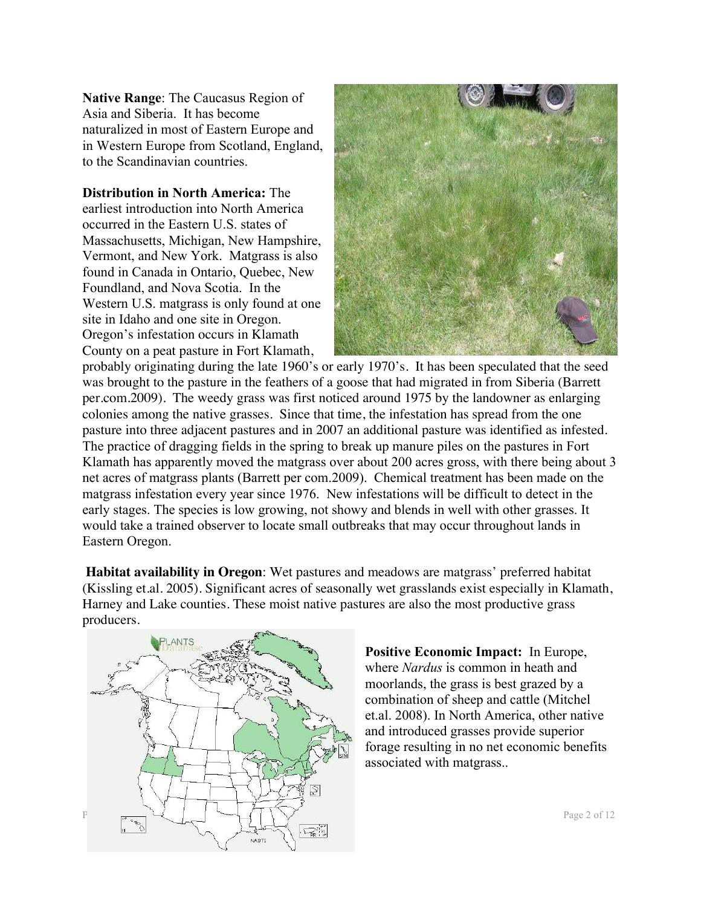**Native Range**: The Caucasus Region of Asia and Siberia. It has become naturalized in most of Eastern Europe and in Western Europe from Scotland, England, to the Scandinavian countries.

**Distribution in North America:** The earliest introduction into North America occurred in the Eastern U.S. states of Massachusetts, Michigan, New Hampshire, Vermont, and New York. Matgrass is also found in Canada in Ontario, Quebec, New Foundland, and Nova Scotia. In the Western U.S. matgrass is only found at one site in Idaho and one site in Oregon. Oregon's infestation occurs in Klamath County on a peat pasture in Fort Klamath,



probably originating during the late 1960's or early 1970's. It has been speculated that the seed was brought to the pasture in the feathers of a goose that had migrated in from Siberia (Barrett per.com.2009). The weedy grass was first noticed around 1975 by the landowner as enlarging colonies among the native grasses. Since that time, the infestation has spread from the one pasture into three adjacent pastures and in 2007 an additional pasture was identified as infested. The practice of dragging fields in the spring to break up manure piles on the pastures in Fort Klamath has apparently moved the matgrass over about 200 acres gross, with there being about 3 net acres of matgrass plants (Barrett per com.2009). Chemical treatment has been made on the matgrass infestation every year since 1976. New infestations will be difficult to detect in the early stages. The species is low growing, not showy and blends in well with other grasses. It would take a trained observer to locate small outbreaks that may occur throughout lands in Eastern Oregon.

**Habitat availability in Oregon**: Wet pastures and meadows are matgrass' preferred habitat (Kissling et.al. 2005). Significant acres of seasonally wet grasslands exist especially in Klamath, Harney and Lake counties. These moist native pastures are also the most productive grass producers.



**Positive Economic Impact:** In Europe, where *Nardus* is common in heath and moorlands, the grass is best grazed by a combination of sheep and cattle (Mitchel et.al. 2008). In North America, other native and introduced grasses provide superior forage resulting in no net economic benefits associated with matgrass..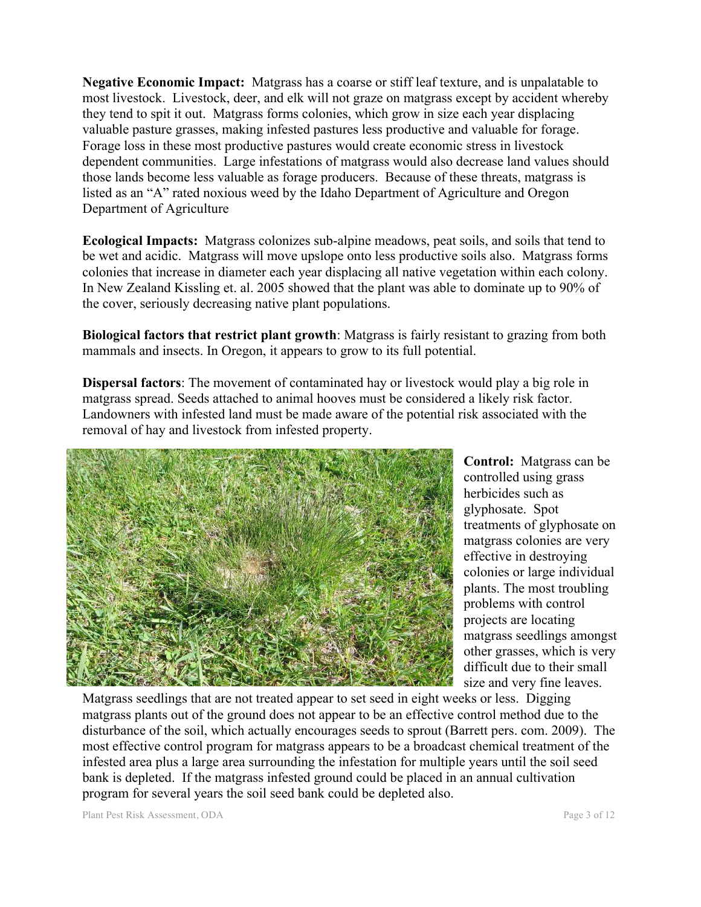**Negative Economic Impact:** Matgrass has a coarse or stiff leaf texture, and is unpalatable to most livestock. Livestock, deer, and elk will not graze on matgrass except by accident whereby they tend to spit it out. Matgrass forms colonies, which grow in size each year displacing valuable pasture grasses, making infested pastures less productive and valuable for forage. Forage loss in these most productive pastures would create economic stress in livestock dependent communities. Large infestations of matgrass would also decrease land values should those lands become less valuable as forage producers. Because of these threats, matgrass is listed as an "A" rated noxious weed by the Idaho Department of Agriculture and Oregon Department of Agriculture

**Ecological Impacts:** Matgrass colonizes sub-alpine meadows, peat soils, and soils that tend to be wet and acidic. Matgrass will move upslope onto less productive soils also. Matgrass forms colonies that increase in diameter each year displacing all native vegetation within each colony. In New Zealand Kissling et. al. 2005 showed that the plant was able to dominate up to 90% of the cover, seriously decreasing native plant populations.

**Biological factors that restrict plant growth**: Matgrass is fairly resistant to grazing from both mammals and insects. In Oregon, it appears to grow to its full potential.

**Dispersal factors**: The movement of contaminated hay or livestock would play a big role in matgrass spread. Seeds attached to animal hooves must be considered a likely risk factor. Landowners with infested land must be made aware of the potential risk associated with the removal of hay and livestock from infested property.



**Control:** Matgrass can be controlled using grass herbicides such as glyphosate. Spot treatments of glyphosate on matgrass colonies are very effective in destroying colonies or large individual plants. The most troubling problems with control projects are locating matgrass seedlings amongst other grasses, which is very difficult due to their small size and very fine leaves.

Matgrass seedlings that are not treated appear to set seed in eight weeks or less. Digging matgrass plants out of the ground does not appear to be an effective control method due to the disturbance of the soil, which actually encourages seeds to sprout (Barrett pers. com. 2009). The most effective control program for matgrass appears to be a broadcast chemical treatment of the infested area plus a large area surrounding the infestation for multiple years until the soil seed bank is depleted. If the matgrass infested ground could be placed in an annual cultivation program for several years the soil seed bank could be depleted also.

Plant Pest Risk Assessment, ODA Page 3 of 12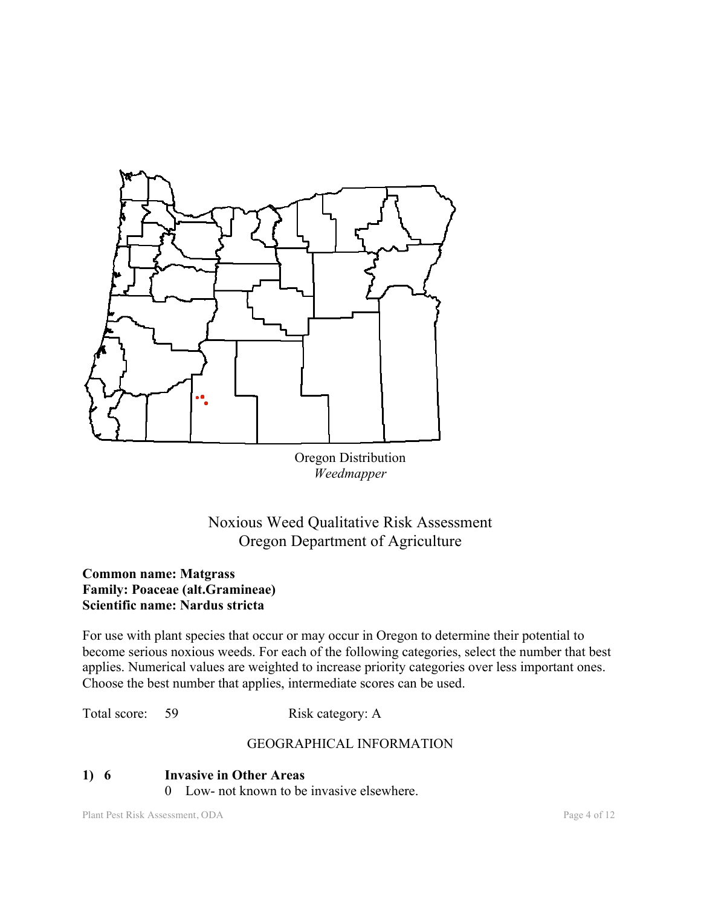

Oregon Distribution *Weedmapper*

# Noxious Weed Qualitative Risk Assessment Oregon Department of Agriculture

### **Common name: Matgrass Family: Poaceae (alt.Gramineae) Scientific name: Nardus stricta**

For use with plant species that occur or may occur in Oregon to determine their potential to become serious noxious weeds. For each of the following categories, select the number that best applies. Numerical values are weighted to increase priority categories over less important ones. Choose the best number that applies, intermediate scores can be used.

Total score: 59 Risk category: A

### GEOGRAPHICAL INFORMATION

### **1) 6 Invasive in Other Areas** 0 Low- not known to be invasive elsewhere.

Plant Pest Risk Assessment, ODA Page 4 of 12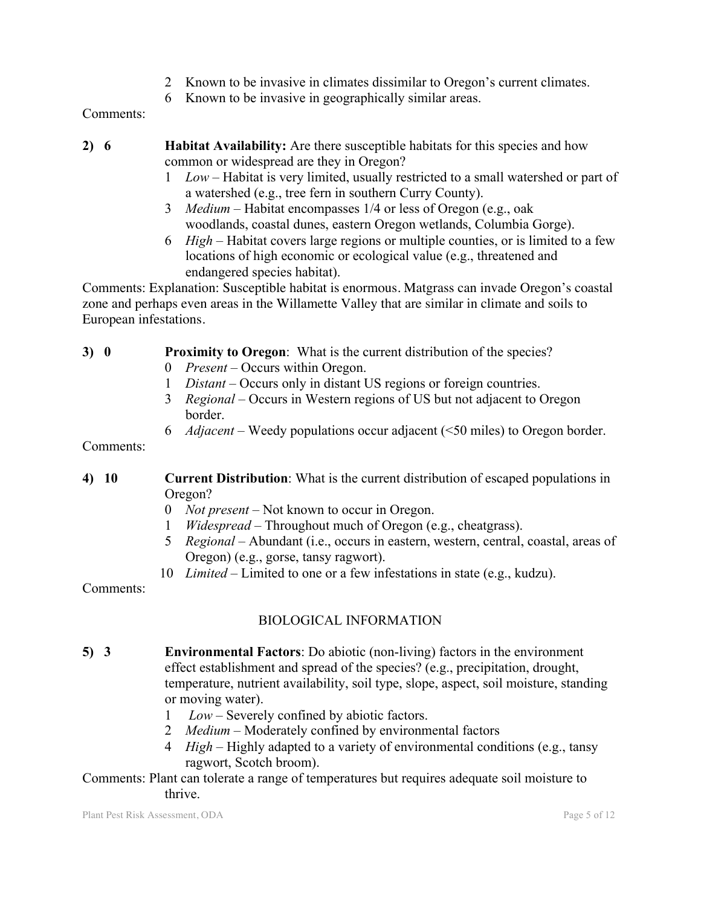- 2 Known to be invasive in climates dissimilar to Oregon's current climates.
- 6 Known to be invasive in geographically similar areas.

Comments:

- **2) 6 Habitat Availability:** Are there susceptible habitats for this species and how common or widespread are they in Oregon?
	- 1 *Low* Habitat is very limited, usually restricted to a small watershed or part of a watershed (e.g., tree fern in southern Curry County).
	- 3 *Medium* Habitat encompasses 1/4 or less of Oregon (e.g., oak woodlands, coastal dunes, eastern Oregon wetlands, Columbia Gorge).
	- 6 *High* Habitat covers large regions or multiple counties, or is limited to a few locations of high economic or ecological value (e.g., threatened and endangered species habitat).

Comments: Explanation: Susceptible habitat is enormous. Matgrass can invade Oregon's coastal zone and perhaps even areas in the Willamette Valley that are similar in climate and soils to European infestations.

## **3) 0 Proximity to Oregon**: What is the current distribution of the species?

- 0 *Present* Occurs within Oregon.
- 1 *Distant* Occurs only in distant US regions or foreign countries.
- 3 *Regional* Occurs in Western regions of US but not adjacent to Oregon border.
- 6 *Adjacent* Weedy populations occur adjacent (<50 miles) to Oregon border.

Comments:

- **4) 10 Current Distribution**: What is the current distribution of escaped populations in Oregon?
	- 0 *Not present* Not known to occur in Oregon.
	- 1 *Widespread* Throughout much of Oregon (e.g., cheatgrass).
	- 5 *Regional* Abundant (i.e., occurs in eastern, western, central, coastal, areas of Oregon) (e.g., gorse, tansy ragwort).
	- 10 *Limited* Limited to one or a few infestations in state (e.g., kudzu).

Comments:

## BIOLOGICAL INFORMATION

- **5) 3 Environmental Factors**: Do abiotic (non-living) factors in the environment effect establishment and spread of the species? (e.g., precipitation, drought, temperature, nutrient availability, soil type, slope, aspect, soil moisture, standing or moving water).
	- 1 *Low* Severely confined by abiotic factors.
	- 2 *Medium* Moderately confined by environmental factors
	- 4 *High* Highly adapted to a variety of environmental conditions (e.g., tansy ragwort, Scotch broom).

### Comments: Plant can tolerate a range of temperatures but requires adequate soil moisture to thrive.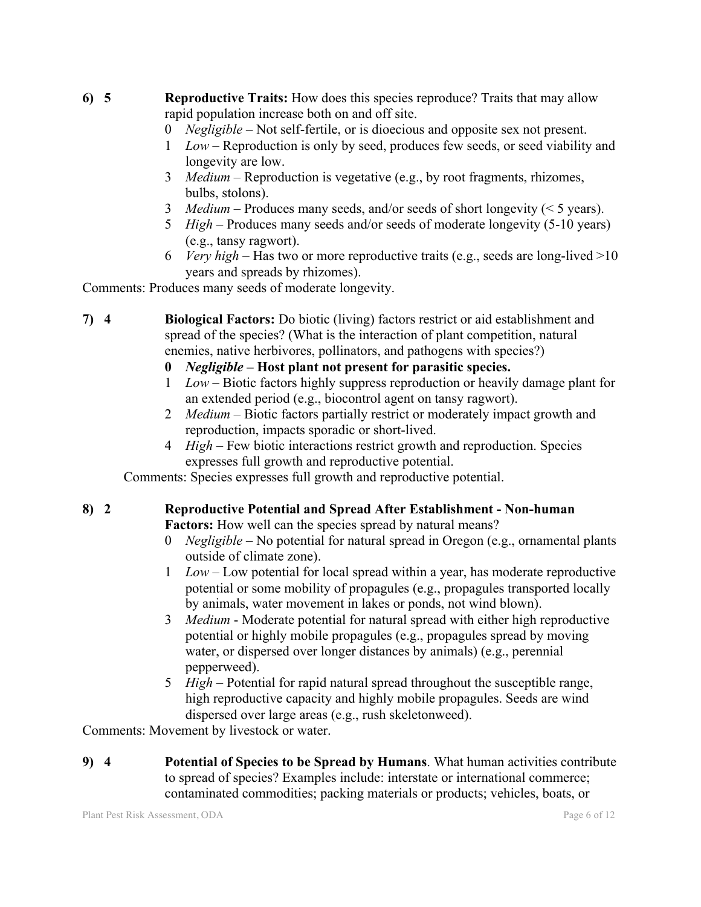- **6) 5 Reproductive Traits:** How does this species reproduce? Traits that may allow rapid population increase both on and off site.
	- 0 *Negligible* Not self-fertile, or is dioecious and opposite sex not present.
	- 1 *Low* Reproduction is only by seed, produces few seeds, or seed viability and longevity are low.
	- 3 *Medium* Reproduction is vegetative (e.g., by root fragments, rhizomes, bulbs, stolons).
	- 3 *Medium* Produces many seeds, and/or seeds of short longevity (< 5 years).
	- 5 *High* Produces many seeds and/or seeds of moderate longevity (5-10 years) (e.g., tansy ragwort).
	- 6 *Very high* Has two or more reproductive traits (e.g., seeds are long-lived >10 years and spreads by rhizomes).

Comments: Produces many seeds of moderate longevity.

- **7) 4 Biological Factors:** Do biotic (living) factors restrict or aid establishment and spread of the species? (What is the interaction of plant competition, natural enemies, native herbivores, pollinators, and pathogens with species?)
	- **0** *Negligible* **– Host plant not present for parasitic species.**
	- 1 *Low* Biotic factors highly suppress reproduction or heavily damage plant for an extended period (e.g., biocontrol agent on tansy ragwort).
	- 2 *Medium* Biotic factors partially restrict or moderately impact growth and reproduction, impacts sporadic or short-lived.
	- 4 *High* Few biotic interactions restrict growth and reproduction. Species expresses full growth and reproductive potential.

Comments: Species expresses full growth and reproductive potential.

#### **8) 2 Reproductive Potential and Spread After Establishment - Non-human Factors:** How well can the species spread by natural means?

- 0 *Negligible*  No potential for natural spread in Oregon (e.g., ornamental plants outside of climate zone).
- 1 *Low* Low potential for local spread within a year, has moderate reproductive potential or some mobility of propagules (e.g., propagules transported locally by animals, water movement in lakes or ponds, not wind blown).
- 3 *Medium* Moderate potential for natural spread with either high reproductive potential or highly mobile propagules (e.g., propagules spread by moving water, or dispersed over longer distances by animals) (e.g., perennial pepperweed).
- 5 *High*  Potential for rapid natural spread throughout the susceptible range, high reproductive capacity and highly mobile propagules. Seeds are wind dispersed over large areas (e.g., rush skeletonweed).

Comments: Movement by livestock or water.

**9) 4 Potential of Species to be Spread by Humans**. What human activities contribute to spread of species? Examples include: interstate or international commerce; contaminated commodities; packing materials or products; vehicles, boats, or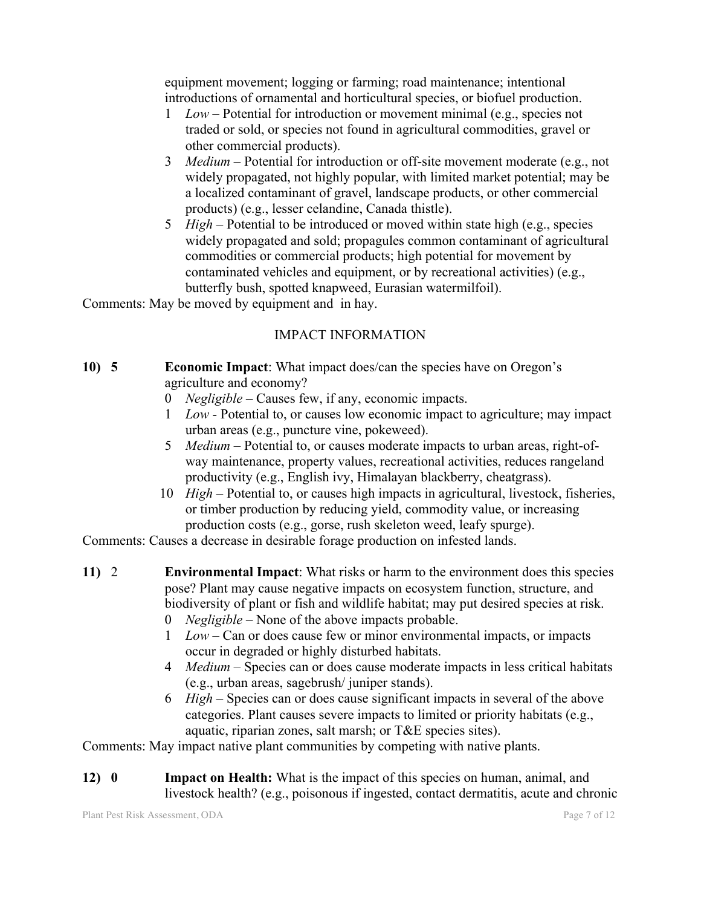equipment movement; logging or farming; road maintenance; intentional introductions of ornamental and horticultural species, or biofuel production.

- 1 *Low* Potential for introduction or movement minimal (e.g., species not traded or sold, or species not found in agricultural commodities, gravel or other commercial products).
- 3 *Medium*  Potential for introduction or off-site movement moderate (e.g., not widely propagated, not highly popular, with limited market potential; may be a localized contaminant of gravel, landscape products, or other commercial products) (e.g., lesser celandine, Canada thistle).
- 5 *High*  Potential to be introduced or moved within state high (e.g., species widely propagated and sold; propagules common contaminant of agricultural commodities or commercial products; high potential for movement by contaminated vehicles and equipment, or by recreational activities) (e.g., butterfly bush, spotted knapweed, Eurasian watermilfoil).

Comments: May be moved by equipment and in hay.

## IMPACT INFORMATION

- **10) 5 Economic Impact**: What impact does/can the species have on Oregon's agriculture and economy?
	- 0 *Negligible* Causes few, if any, economic impacts.
	- 1 *Low* Potential to, or causes low economic impact to agriculture; may impact urban areas (e.g., puncture vine, pokeweed).
	- 5 *Medium* Potential to, or causes moderate impacts to urban areas, right-ofway maintenance, property values, recreational activities, reduces rangeland productivity (e.g., English ivy, Himalayan blackberry, cheatgrass).
	- 10 *High*  Potential to, or causes high impacts in agricultural, livestock, fisheries, or timber production by reducing yield, commodity value, or increasing production costs (e.g., gorse, rush skeleton weed, leafy spurge).

Comments: Causes a decrease in desirable forage production on infested lands.

- **11)** 2 **Environmental Impact**: What risks or harm to the environment does this species pose? Plant may cause negative impacts on ecosystem function, structure, and biodiversity of plant or fish and wildlife habitat; may put desired species at risk.
	- 0 *Negligible*  None of the above impacts probable.
	- 1 *Low* Can or does cause few or minor environmental impacts, or impacts occur in degraded or highly disturbed habitats.
	- 4 *Medium*  Species can or does cause moderate impacts in less critical habitats (e.g., urban areas, sagebrush/ juniper stands).
	- 6 *High*  Species can or does cause significant impacts in several of the above categories. Plant causes severe impacts to limited or priority habitats (e.g., aquatic, riparian zones, salt marsh; or T&E species sites).

Comments: May impact native plant communities by competing with native plants.

**12) 0 Impact on Health:** What is the impact of this species on human, animal, and livestock health? (e.g., poisonous if ingested, contact dermatitis, acute and chronic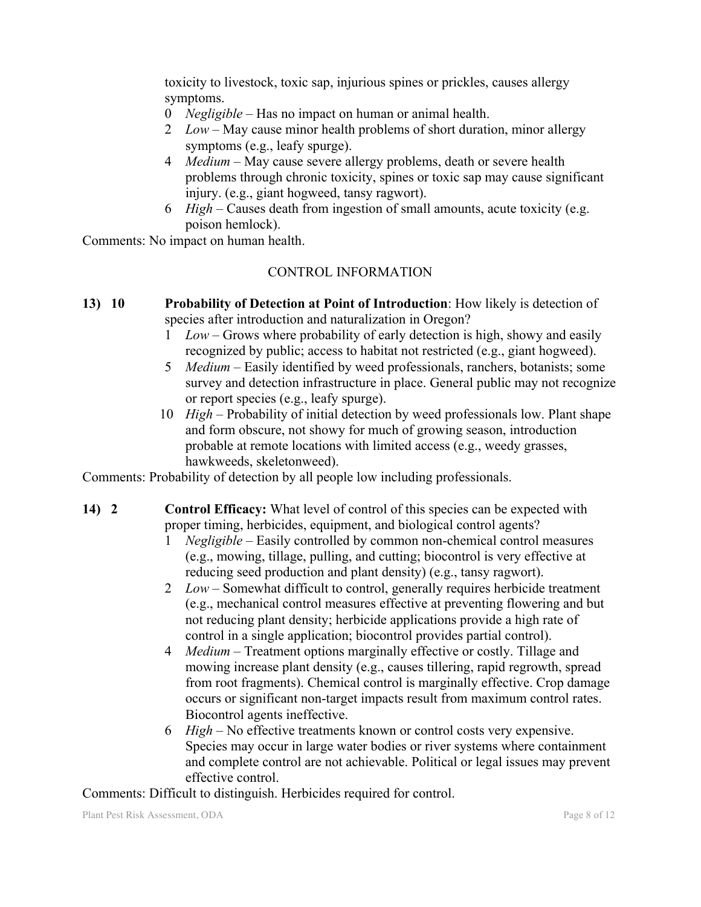toxicity to livestock, toxic sap, injurious spines or prickles, causes allergy symptoms.

- 0 *Negligible* Has no impact on human or animal health.
- 2 *Low*  May cause minor health problems of short duration, minor allergy symptoms (e.g., leafy spurge).
- 4 *Medium*  May cause severe allergy problems, death or severe health problems through chronic toxicity, spines or toxic sap may cause significant injury. (e.g., giant hogweed, tansy ragwort).
- 6 *High* Causes death from ingestion of small amounts, acute toxicity (e.g. poison hemlock).

Comments: No impact on human health.

### CONTROL INFORMATION

- **13) 10 Probability of Detection at Point of Introduction**: How likely is detection of species after introduction and naturalization in Oregon?
	- 1 *Low*  Grows where probability of early detection is high, showy and easily recognized by public; access to habitat not restricted (e.g., giant hogweed).
	- 5 *Medium* Easily identified by weed professionals, ranchers, botanists; some survey and detection infrastructure in place. General public may not recognize or report species (e.g., leafy spurge).
	- 10 *High* Probability of initial detection by weed professionals low. Plant shape and form obscure, not showy for much of growing season, introduction probable at remote locations with limited access (e.g., weedy grasses, hawkweeds, skeletonweed).

Comments: Probability of detection by all people low including professionals.

- **14) 2 Control Efficacy:** What level of control of this species can be expected with proper timing, herbicides, equipment, and biological control agents?
	- 1 *Negligible* Easily controlled by common non-chemical control measures (e.g., mowing, tillage, pulling, and cutting; biocontrol is very effective at reducing seed production and plant density) (e.g., tansy ragwort).
	- 2 *Low*  Somewhat difficult to control, generally requires herbicide treatment (e.g., mechanical control measures effective at preventing flowering and but not reducing plant density; herbicide applications provide a high rate of control in a single application; biocontrol provides partial control).
	- 4 *Medium*  Treatment options marginally effective or costly. Tillage and mowing increase plant density (e.g., causes tillering, rapid regrowth, spread from root fragments). Chemical control is marginally effective. Crop damage occurs or significant non-target impacts result from maximum control rates. Biocontrol agents ineffective.
	- 6 *High* No effective treatments known or control costs very expensive. Species may occur in large water bodies or river systems where containment and complete control are not achievable. Political or legal issues may prevent effective control.

Comments: Difficult to distinguish. Herbicides required for control.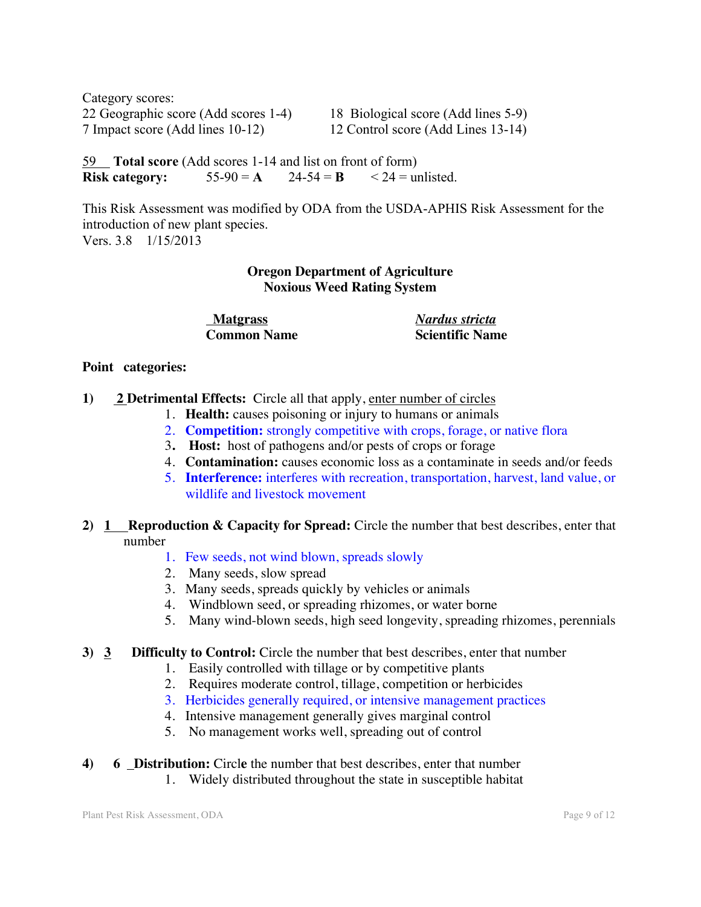Category scores: 22 Geographic score (Add scores 1-4) 18 Biological score (Add lines 5-9) 7 Impact score (Add lines 10-12) 12 Control score (Add Lines 13-14)

59 **Total score** (Add scores 1-14 and list on front of form) **Risk category:**  $55-90 = A$   $24-54 = B$   $\leq 24$  = unlisted.

This Risk Assessment was modified by ODA from the USDA-APHIS Risk Assessment for the introduction of new plant species. Vers. 3.8 1/15/2013

### **Oregon Department of Agriculture Noxious Weed Rating System**

 **Matgrass** *Nardus stricta* **Common Name Scientific Name**

#### **Point categories:**

- **1) 2 Detrimental Effects:** Circle all that apply, enter number of circles
	- 1. **Health:** causes poisoning or injury to humans or animals
	- 2. **Competition:** strongly competitive with crops, forage, or native flora
	- 3**. Host:** host of pathogens and/or pests of crops or forage
	- 4. **Contamination:** causes economic loss as a contaminate in seeds and/or feeds
	- 5. **Interference:** interferes with recreation, transportation, harvest, land value, or wildlife and livestock movement

#### **2) 1 Reproduction & Capacity for Spread:** Circle the number that best describes, enter that number

- 1. Few seeds, not wind blown, spreads slowly
- 2. Many seeds, slow spread
- 3. Many seeds, spreads quickly by vehicles or animals
- 4. Windblown seed, or spreading rhizomes, or water borne
- 5. Many wind-blown seeds, high seed longevity, spreading rhizomes, perennials

### **3) 3 Difficulty to Control:** Circle the number that best describes, enter that number

- 1. Easily controlled with tillage or by competitive plants
- 2. Requires moderate control, tillage, competition or herbicides
- 3. Herbicides generally required, or intensive management practices
- 4. Intensive management generally gives marginal control
- 5. No management works well, spreading out of control
- **4) 6 Distribution:** Circl**e** the number that best describes, enter that number
	- 1. Widely distributed throughout the state in susceptible habitat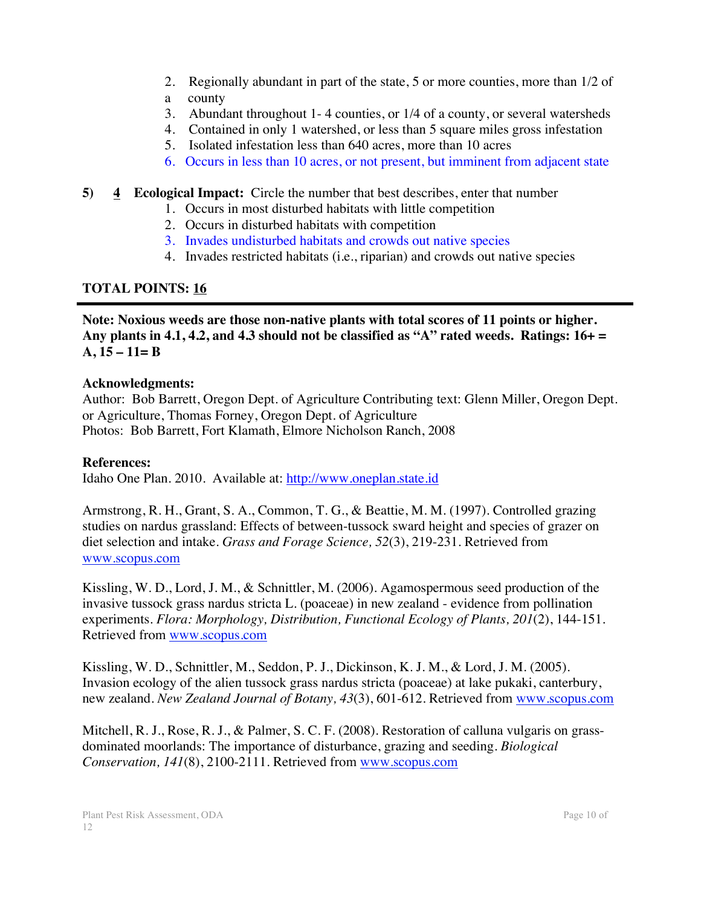- 2. Regionally abundant in part of the state, 5 or more counties, more than 1/2 of
- a county
- 3. Abundant throughout 1- 4 counties, or 1/4 of a county, or several watersheds
- 4. Contained in only 1 watershed, or less than 5 square miles gross infestation
- 5. Isolated infestation less than 640 acres, more than 10 acres
- 6. Occurs in less than 10 acres, or not present, but imminent from adjacent state

## **5) 4 Ecological Impact:** Circle the number that best describes, enter that number

- 1. Occurs in most disturbed habitats with little competition
- 2. Occurs in disturbed habitats with competition
- 3. Invades undisturbed habitats and crowds out native species
- 4. Invades restricted habitats (i.e., riparian) and crowds out native species

## **TOTAL POINTS: 16**

**Note: Noxious weeds are those non-native plants with total scores of 11 points or higher. Any plants in 4.1, 4.2, and 4.3 should not be classified as "A" rated weeds. Ratings: 16+ = A, 15 – 11= B**

### **Acknowledgments:**

Author: Bob Barrett, Oregon Dept. of Agriculture Contributing text: Glenn Miller, Oregon Dept. or Agriculture, Thomas Forney, Oregon Dept. of Agriculture Photos: Bob Barrett, Fort Klamath, Elmore Nicholson Ranch, 2008

### **References:**

Idaho One Plan. 2010. Available at: http://www.oneplan.state.id

Armstrong, R. H., Grant, S. A., Common, T. G., & Beattie, M. M. (1997). Controlled grazing studies on nardus grassland: Effects of between-tussock sward height and species of grazer on diet selection and intake. *Grass and Forage Science, 52*(3), 219-231. Retrieved from www.scopus.com

Kissling, W. D., Lord, J. M., & Schnittler, M. (2006). Agamospermous seed production of the invasive tussock grass nardus stricta L. (poaceae) in new zealand - evidence from pollination experiments. *Flora: Morphology, Distribution, Functional Ecology of Plants, 201*(2), 144-151. Retrieved from www.scopus.com

Kissling, W. D., Schnittler, M., Seddon, P. J., Dickinson, K. J. M., & Lord, J. M. (2005). Invasion ecology of the alien tussock grass nardus stricta (poaceae) at lake pukaki, canterbury, new zealand. *New Zealand Journal of Botany, 43*(3), 601-612. Retrieved from www.scopus.com

Mitchell, R. J., Rose, R. J., & Palmer, S. C. F. (2008). Restoration of calluna vulgaris on grassdominated moorlands: The importance of disturbance, grazing and seeding. *Biological Conservation, 141*(8), 2100-2111. Retrieved from www.scopus.com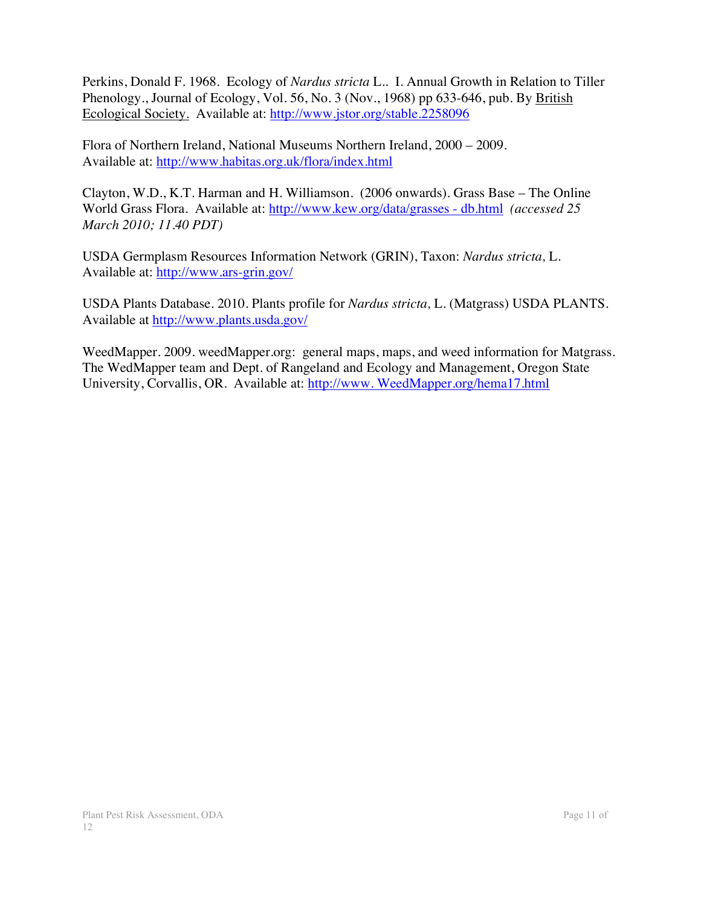Perkins, Donald F. 1968. Ecology of *Nardus stricta* L.. I. Annual Growth in Relation to Tiller Phenology., Journal of Ecology, Vol. 56, No. 3 (Nov., 1968) pp 633-646, pub. By British Ecological Society. Available at: http://www.jstor.org/stable.2258096

Flora of Northern Ireland, National Museums Northern Ireland, 2000 – 2009. Available at: http://www.habitas.org.uk/flora/index.html

Clayton, W.D., K.T. Harman and H. Williamson. (2006 onwards). Grass Base – The Online World Grass Flora. Available at: http://www.kew.org/data/grasses - db.html *(accessed 25 March 2010; 11.40 PDT)*

USDA Germplasm Resources Information Network (GRIN), Taxon: *Nardus stricta,* L. Available at: http://www.ars-grin.gov/

USDA Plants Database. 2010. Plants profile for *Nardus stricta,* L. (Matgrass) USDA PLANTS. Available at http://www.plants.usda.gov/

WeedMapper. 2009. weedMapper.org: general maps, maps, and weed information for Matgrass. The WedMapper team and Dept. of Rangeland and Ecology and Management, Oregon State University, Corvallis, OR. Available at: http://www. WeedMapper.org/hema17.html